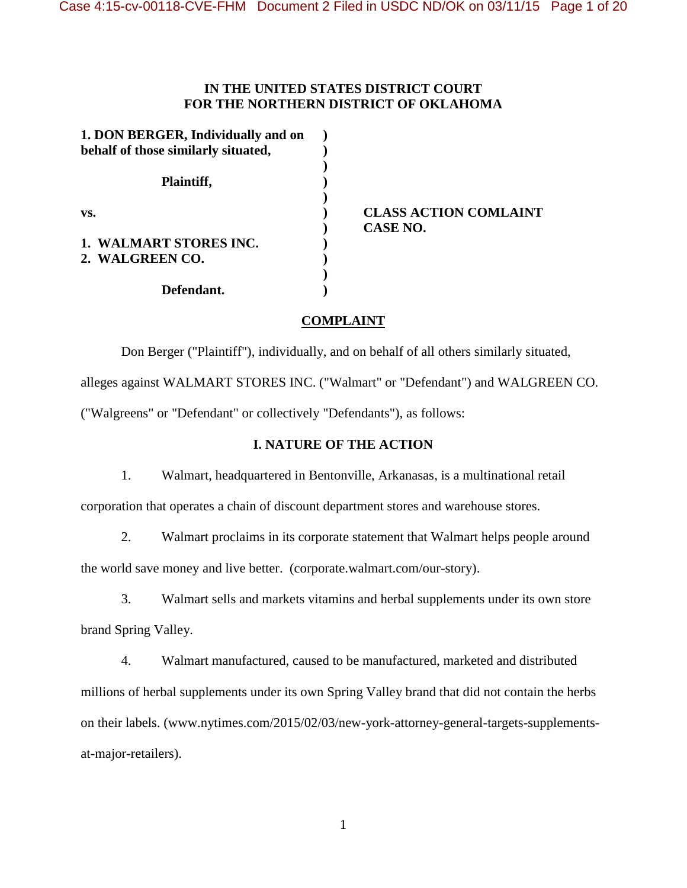### **IN THE UNITED STATES DISTRICT COURT FOR THE NORTHERN DISTRICT OF OKLAHOMA**

| 1. DON BERGER, Individually and on<br>behalf of those similarly situated, |  |
|---------------------------------------------------------------------------|--|
| Plaintiff,                                                                |  |
| VS.                                                                       |  |
| 1. WALMART STORES INC.<br>2. WALGREEN CO.                                 |  |
| Defendant.                                                                |  |

**vs. ) CLASS ACTION COMLAINT ) CASE NO.**

# **COMPLAINT**

Don Berger ("Plaintiff"), individually, and on behalf of all others similarly situated,

alleges against WALMART STORES INC. ("Walmart" or "Defendant") and WALGREEN CO.

("Walgreens" or "Defendant" or collectively "Defendants"), as follows:

# **I. NATURE OF THE ACTION**

1. Walmart, headquartered in Bentonville, Arkanasas, is a multinational retail

corporation that operates a chain of discount department stores and warehouse stores.

2. Walmart proclaims in its corporate statement that Walmart helps people around the world save money and live better. (corporate.walmart.com/our-story).

3. Walmart sells and markets vitamins and herbal supplements under its own store brand Spring Valley.

4. Walmart manufactured, caused to be manufactured, marketed and distributed millions of herbal supplements under its own Spring Valley brand that did not contain the herbs on their labels. (www.nytimes.com/2015/02/03/new-york-attorney-general-targets-supplementsat-major-retailers).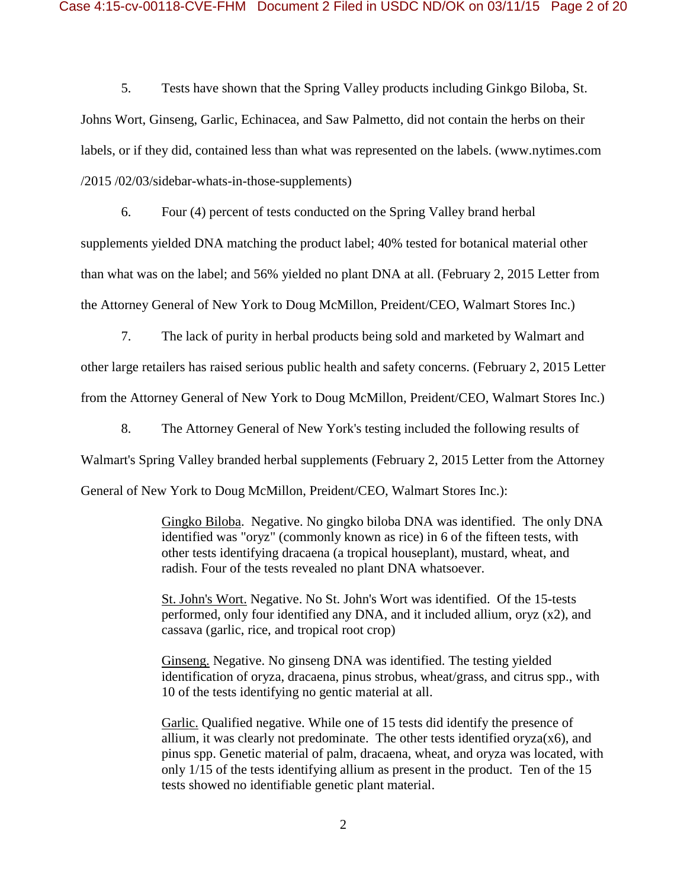5. Tests have shown that the Spring Valley products including Ginkgo Biloba, St. Johns Wort, Ginseng, Garlic, Echinacea, and Saw Palmetto, did not contain the herbs on their labels, or if they did, contained less than what was represented on the labels. (www.nytimes.com /2015 /02/03/sidebar-whats-in-those-supplements)

6. Four (4) percent of tests conducted on the Spring Valley brand herbal supplements yielded DNA matching the product label; 40% tested for botanical material other than what was on the label; and 56% yielded no plant DNA at all. (February 2, 2015 Letter from the Attorney General of New York to Doug McMillon, Preident/CEO, Walmart Stores Inc.)

7. The lack of purity in herbal products being sold and marketed by Walmart and

other large retailers has raised serious public health and safety concerns. (February 2, 2015 Letter from the Attorney General of New York to Doug McMillon, Preident/CEO, Walmart Stores Inc.)

8. The Attorney General of New York's testing included the following results of

Walmart's Spring Valley branded herbal supplements (February 2, 2015 Letter from the Attorney

General of New York to Doug McMillon, Preident/CEO, Walmart Stores Inc.):

Gingko Biloba. Negative. No gingko biloba DNA was identified. The only DNA identified was "oryz" (commonly known as rice) in 6 of the fifteen tests, with other tests identifying dracaena (a tropical houseplant), mustard, wheat, and radish. Four of the tests revealed no plant DNA whatsoever.

St. John's Wort. Negative. No St. John's Wort was identified. Of the 15-tests performed, only four identified any DNA, and it included allium, oryz (x2), and cassava (garlic, rice, and tropical root crop)

Ginseng. Negative. No ginseng DNA was identified. The testing yielded identification of oryza, dracaena, pinus strobus, wheat/grass, and citrus spp., with 10 of the tests identifying no gentic material at all.

Garlic. Qualified negative. While one of 15 tests did identify the presence of allium, it was clearly not predominate. The other tests identified  $\alpha$ yza $(x6)$ , and pinus spp. Genetic material of palm, dracaena, wheat, and oryza was located, with only 1/15 of the tests identifying allium as present in the product. Ten of the 15 tests showed no identifiable genetic plant material.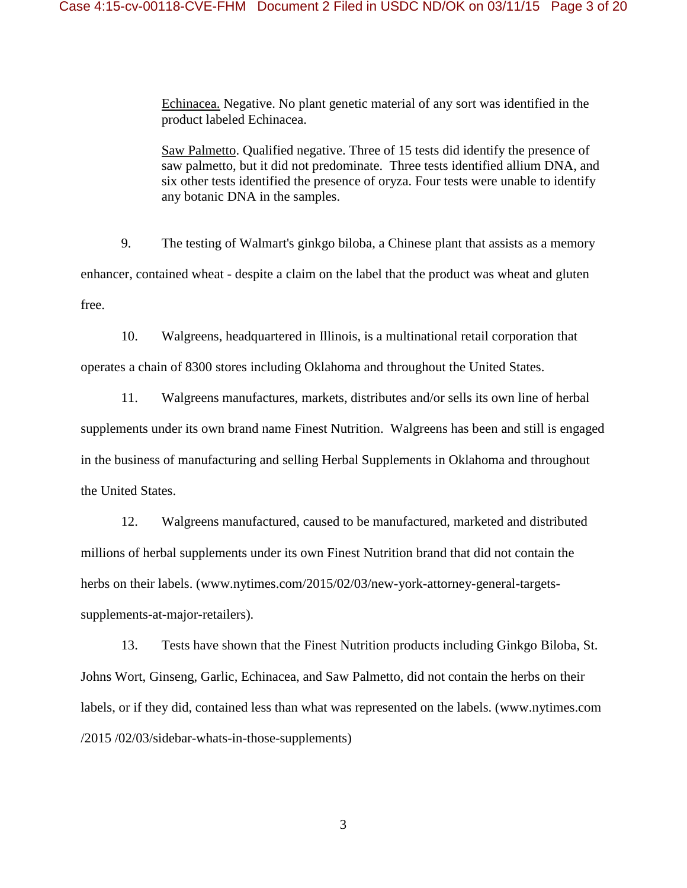Echinacea. Negative. No plant genetic material of any sort was identified in the product labeled Echinacea.

Saw Palmetto. Qualified negative. Three of 15 tests did identify the presence of saw palmetto, but it did not predominate. Three tests identified allium DNA, and six other tests identified the presence of oryza. Four tests were unable to identify any botanic DNA in the samples.

9. The testing of Walmart's ginkgo biloba, a Chinese plant that assists as a memory enhancer, contained wheat - despite a claim on the label that the product was wheat and gluten free.

10. Walgreens, headquartered in Illinois, is a multinational retail corporation that operates a chain of 8300 stores including Oklahoma and throughout the United States.

11. Walgreens manufactures, markets, distributes and/or sells its own line of herbal supplements under its own brand name Finest Nutrition. Walgreens has been and still is engaged in the business of manufacturing and selling Herbal Supplements in Oklahoma and throughout the United States.

12. Walgreens manufactured, caused to be manufactured, marketed and distributed millions of herbal supplements under its own Finest Nutrition brand that did not contain the herbs on their labels. (www.nytimes.com/2015/02/03/new-york-attorney-general-targetssupplements-at-major-retailers).

13. Tests have shown that the Finest Nutrition products including Ginkgo Biloba, St. Johns Wort, Ginseng, Garlic, Echinacea, and Saw Palmetto, did not contain the herbs on their labels, or if they did, contained less than what was represented on the labels. (www.nytimes.com /2015 /02/03/sidebar-whats-in-those-supplements)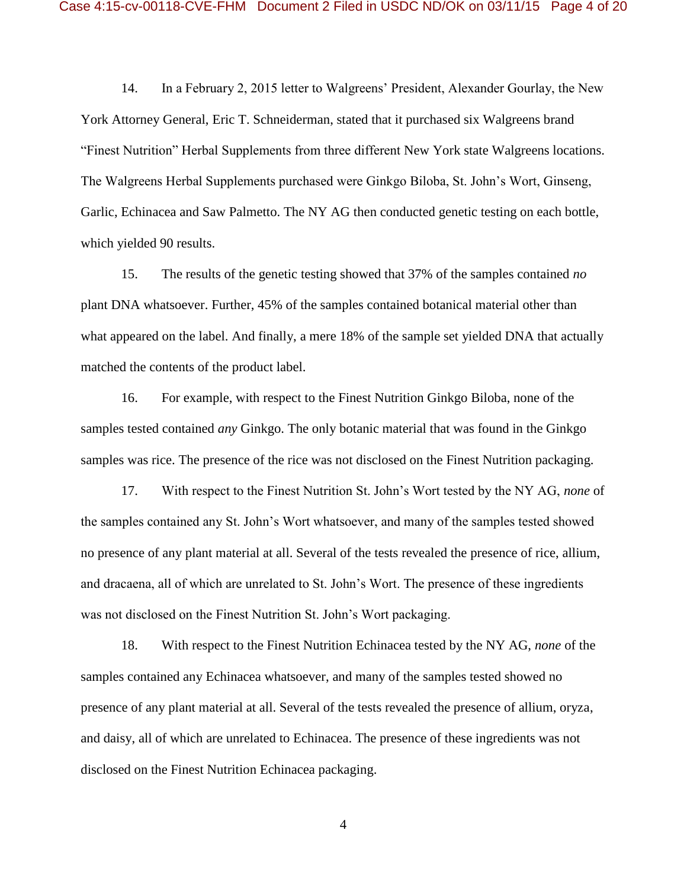14. In a February 2, 2015 letter to Walgreens' President, Alexander Gourlay, the New York Attorney General, Eric T. Schneiderman, stated that it purchased six Walgreens brand "Finest Nutrition" Herbal Supplements from three different New York state Walgreens locations. The Walgreens Herbal Supplements purchased were Ginkgo Biloba, St. John's Wort, Ginseng, Garlic, Echinacea and Saw Palmetto. The NY AG then conducted genetic testing on each bottle, which yielded 90 results.

15. The results of the genetic testing showed that 37% of the samples contained *no* plant DNA whatsoever. Further, 45% of the samples contained botanical material other than what appeared on the label. And finally, a mere 18% of the sample set yielded DNA that actually matched the contents of the product label.

16. For example, with respect to the Finest Nutrition Ginkgo Biloba, none of the samples tested contained *any* Ginkgo. The only botanic material that was found in the Ginkgo samples was rice. The presence of the rice was not disclosed on the Finest Nutrition packaging.

17. With respect to the Finest Nutrition St. John's Wort tested by the NY AG, *none* of the samples contained any St. John's Wort whatsoever, and many of the samples tested showed no presence of any plant material at all. Several of the tests revealed the presence of rice, allium, and dracaena, all of which are unrelated to St. John's Wort. The presence of these ingredients was not disclosed on the Finest Nutrition St. John's Wort packaging.

18. With respect to the Finest Nutrition Echinacea tested by the NY AG, *none* of the samples contained any Echinacea whatsoever, and many of the samples tested showed no presence of any plant material at all. Several of the tests revealed the presence of allium, oryza, and daisy, all of which are unrelated to Echinacea. The presence of these ingredients was not disclosed on the Finest Nutrition Echinacea packaging.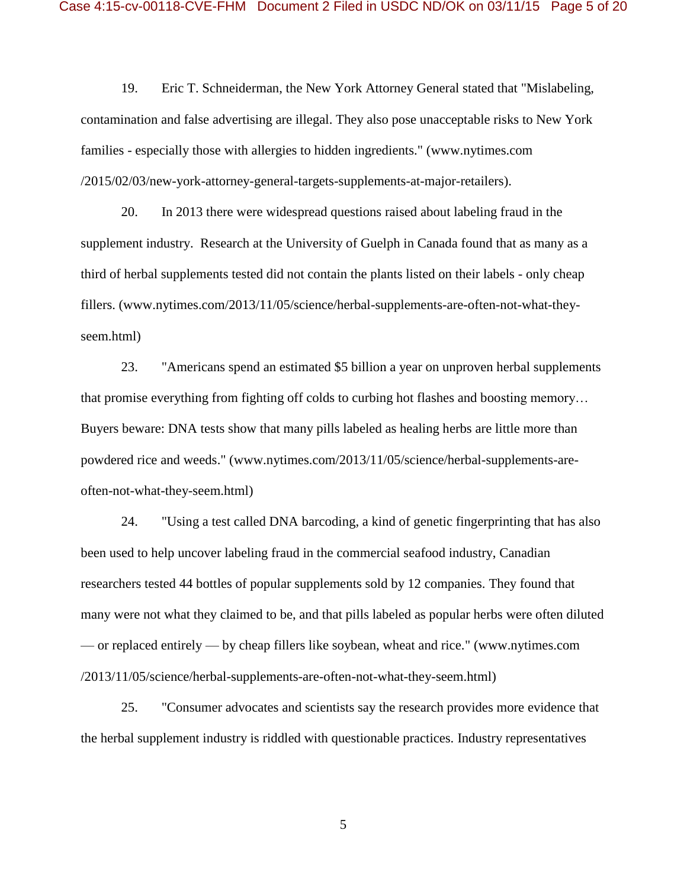19. Eric T. Schneiderman, the New York Attorney General stated that "Mislabeling, contamination and false advertising are illegal. They also pose unacceptable risks to New York families - especially those with allergies to hidden ingredients." (www.nytimes.com /2015/02/03/new-york-attorney-general-targets-supplements-at-major-retailers).

20. In 2013 there were widespread questions raised about labeling fraud in the supplement industry. Research at the University of Guelph in Canada found that as many as a third of herbal supplements tested did not contain the plants listed on their labels - only cheap fillers. (www.nytimes.com/2013/11/05/science/herbal-supplements-are-often-not-what-theyseem.html)

23. "Americans spend an estimated \$5 billion a year on unproven herbal supplements that promise everything from fighting off colds to curbing hot flashes and boosting memory… Buyers beware: DNA tests show that many pills labeled as healing herbs are little more than powdered rice and weeds." (www.nytimes.com/2013/11/05/science/herbal-supplements-areoften-not-what-they-seem.html)

24. "Using a test called DNA barcoding, a kind of genetic fingerprinting that has also been used to help uncover labeling fraud in the commercial seafood industry, Canadian researchers tested 44 bottles of popular supplements sold by 12 companies. They found that many were not what they claimed to be, and that pills labeled as popular herbs were often diluted — or replaced entirely — by cheap fillers like soybean, wheat and rice." (www.nytimes.com /2013/11/05/science/herbal-supplements-are-often-not-what-they-seem.html)

25. "Consumer advocates and scientists say the research provides more evidence that the herbal supplement industry is riddled with questionable practices. Industry representatives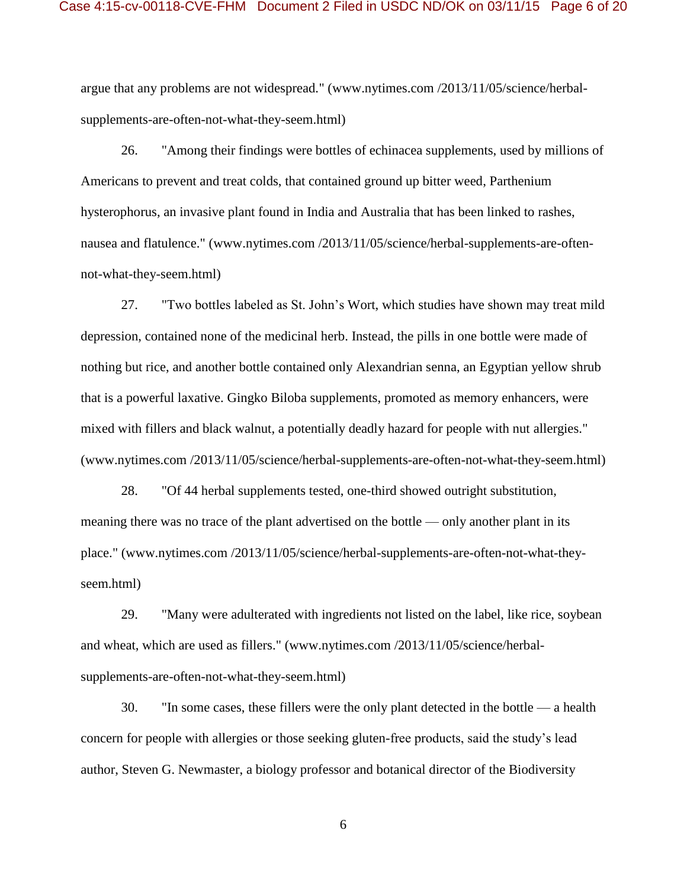argue that any problems are not widespread." (www.nytimes.com /2013/11/05/science/herbalsupplements-are-often-not-what-they-seem.html)

26. "Among their findings were bottles of echinacea supplements, used by millions of Americans to prevent and treat colds, that contained ground up bitter weed, Parthenium hysterophorus, an invasive plant found in India and Australia that has been linked to rashes, nausea and flatulence." (www.nytimes.com /2013/11/05/science/herbal-supplements-are-oftennot-what-they-seem.html)

27. "Two bottles labeled as St. John's Wort, which studies have shown may treat mild depression, contained none of the medicinal herb. Instead, the pills in one bottle were made of nothing but rice, and another bottle contained only Alexandrian senna, an Egyptian yellow shrub that is a powerful laxative. Gingko Biloba supplements, promoted as memory enhancers, were mixed with fillers and black walnut, a potentially deadly hazard for people with nut allergies." (www.nytimes.com /2013/11/05/science/herbal-supplements-are-often-not-what-they-seem.html)

28. "Of 44 herbal supplements tested, one-third showed outright substitution, meaning there was no trace of the plant advertised on the bottle — only another plant in its place." (www.nytimes.com /2013/11/05/science/herbal-supplements-are-often-not-what-theyseem.html)

29. "Many were adulterated with ingredients not listed on the label, like rice, soybean and wheat, which are used as fillers." (www.nytimes.com /2013/11/05/science/herbalsupplements-are-often-not-what-they-seem.html)

30. "In some cases, these fillers were the only plant detected in the bottle — a health concern for people with allergies or those seeking gluten-free products, said the study's lead author, Steven G. Newmaster, a biology professor and botanical director of the Biodiversity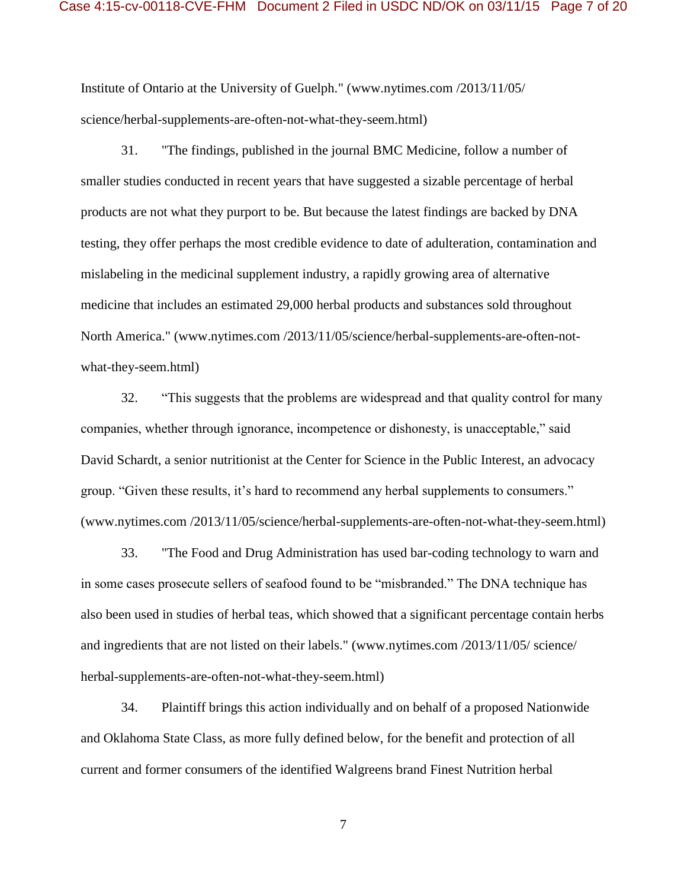Institute of Ontario at the University of Guelph." (www.nytimes.com /2013/11/05/ science/herbal-supplements-are-often-not-what-they-seem.html)

31. "The findings, published in the journal BMC Medicine, follow a number of smaller studies conducted in recent years that have suggested a sizable percentage of herbal products are not what they purport to be. But because the latest findings are backed by DNA testing, they offer perhaps the most credible evidence to date of adulteration, contamination and mislabeling in the medicinal supplement industry, a rapidly growing area of alternative medicine that includes an estimated 29,000 herbal products and substances sold throughout North America." (www.nytimes.com /2013/11/05/science/herbal-supplements-are-often-notwhat-they-seem.html)

32. "This suggests that the problems are widespread and that quality control for many companies, whether through ignorance, incompetence or dishonesty, is unacceptable," said David Schardt, a senior nutritionist at the Center for Science in the Public Interest, an advocacy group. "Given these results, it's hard to recommend any herbal supplements to consumers." (www.nytimes.com /2013/11/05/science/herbal-supplements-are-often-not-what-they-seem.html)

33. "The Food and Drug Administration has used bar-coding technology to warn and in some cases prosecute sellers of seafood found to be "misbranded." The DNA technique has also been used in studies of herbal teas, which showed that a significant percentage contain herbs and ingredients that are not listed on their labels." (www.nytimes.com /2013/11/05/ science/ herbal-supplements-are-often-not-what-they-seem.html)

34. Plaintiff brings this action individually and on behalf of a proposed Nationwide and Oklahoma State Class, as more fully defined below, for the benefit and protection of all current and former consumers of the identified Walgreens brand Finest Nutrition herbal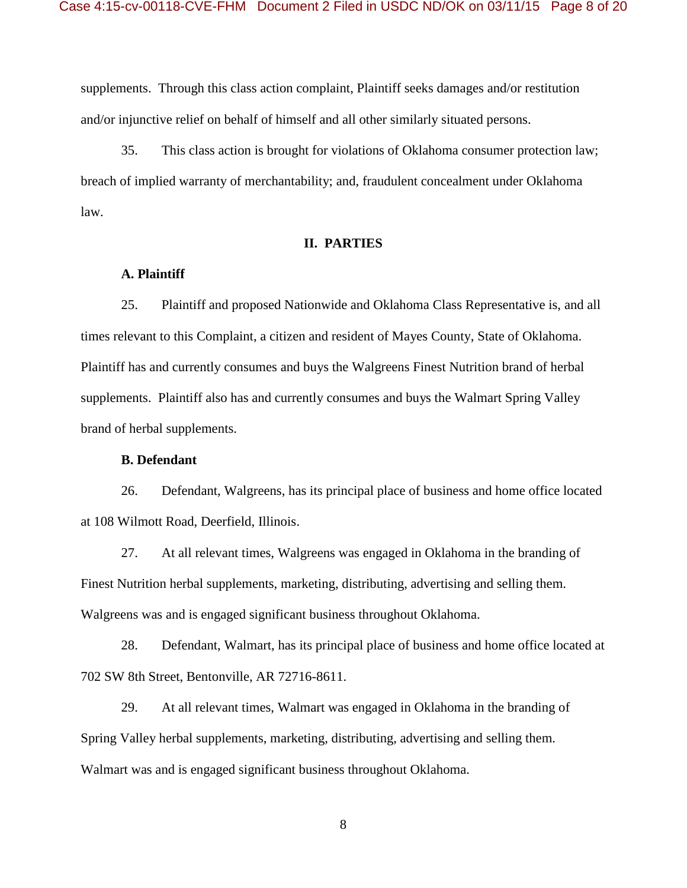supplements. Through this class action complaint, Plaintiff seeks damages and/or restitution and/or injunctive relief on behalf of himself and all other similarly situated persons.

35. This class action is brought for violations of Oklahoma consumer protection law; breach of implied warranty of merchantability; and, fraudulent concealment under Oklahoma law.

### **II. PARTIES**

#### **A. Plaintiff**

25. Plaintiff and proposed Nationwide and Oklahoma Class Representative is, and all times relevant to this Complaint, a citizen and resident of Mayes County, State of Oklahoma. Plaintiff has and currently consumes and buys the Walgreens Finest Nutrition brand of herbal supplements. Plaintiff also has and currently consumes and buys the Walmart Spring Valley brand of herbal supplements.

#### **B. Defendant**

26. Defendant, Walgreens, has its principal place of business and home office located at 108 Wilmott Road, Deerfield, Illinois.

27. At all relevant times, Walgreens was engaged in Oklahoma in the branding of Finest Nutrition herbal supplements, marketing, distributing, advertising and selling them. Walgreens was and is engaged significant business throughout Oklahoma.

28. Defendant, Walmart, has its principal place of business and home office located at 702 SW 8th Street, Bentonville, AR 72716-8611.

29. At all relevant times, Walmart was engaged in Oklahoma in the branding of Spring Valley herbal supplements, marketing, distributing, advertising and selling them. Walmart was and is engaged significant business throughout Oklahoma.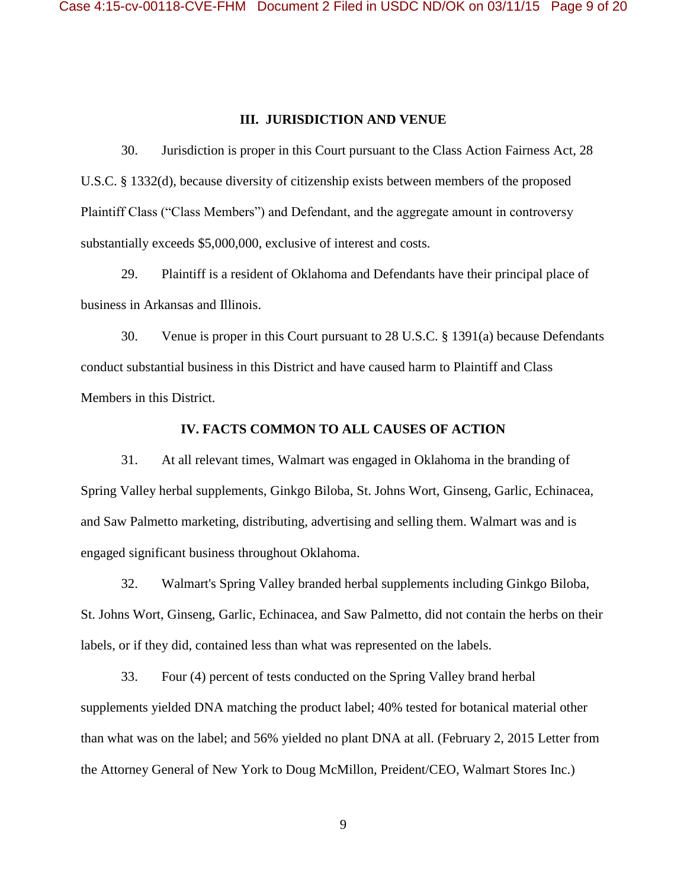#### **III. JURISDICTION AND VENUE**

30. Jurisdiction is proper in this Court pursuant to the Class Action Fairness Act, 28 U.S.C. § 1332(d), because diversity of citizenship exists between members of the proposed Plaintiff Class ("Class Members") and Defendant, and the aggregate amount in controversy substantially exceeds \$5,000,000, exclusive of interest and costs.

29. Plaintiff is a resident of Oklahoma and Defendants have their principal place of business in Arkansas and Illinois.

30. Venue is proper in this Court pursuant to 28 U.S.C. § 1391(a) because Defendants conduct substantial business in this District and have caused harm to Plaintiff and Class Members in this District.

#### **IV. FACTS COMMON TO ALL CAUSES OF ACTION**

31. At all relevant times, Walmart was engaged in Oklahoma in the branding of Spring Valley herbal supplements, Ginkgo Biloba, St. Johns Wort, Ginseng, Garlic, Echinacea, and Saw Palmetto marketing, distributing, advertising and selling them. Walmart was and is engaged significant business throughout Oklahoma.

32. Walmart's Spring Valley branded herbal supplements including Ginkgo Biloba, St. Johns Wort, Ginseng, Garlic, Echinacea, and Saw Palmetto, did not contain the herbs on their labels, or if they did, contained less than what was represented on the labels.

33. Four (4) percent of tests conducted on the Spring Valley brand herbal supplements yielded DNA matching the product label; 40% tested for botanical material other than what was on the label; and 56% yielded no plant DNA at all. (February 2, 2015 Letter from the Attorney General of New York to Doug McMillon, Preident/CEO, Walmart Stores Inc.)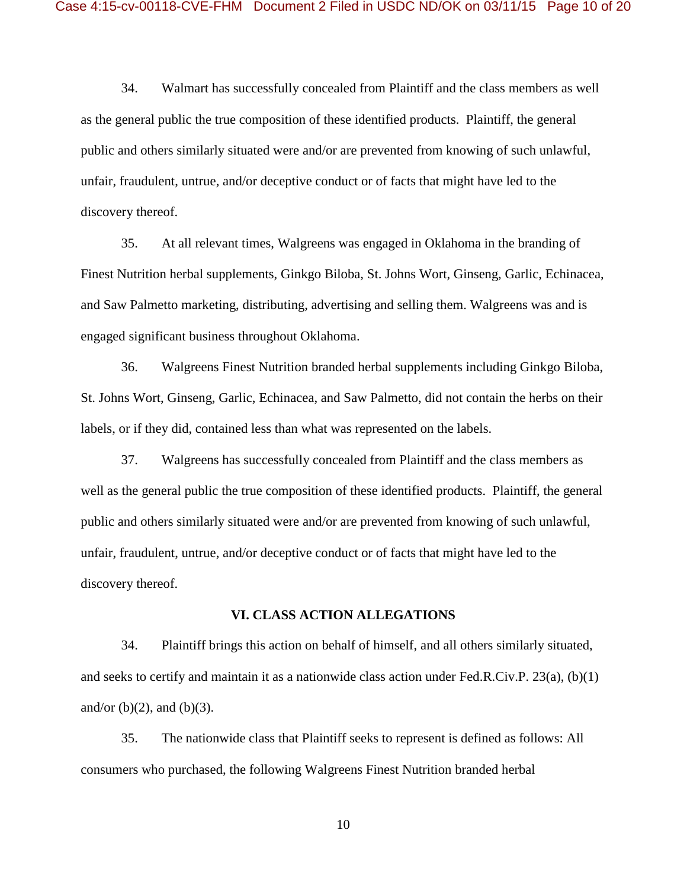34. Walmart has successfully concealed from Plaintiff and the class members as well as the general public the true composition of these identified products. Plaintiff, the general public and others similarly situated were and/or are prevented from knowing of such unlawful, unfair, fraudulent, untrue, and/or deceptive conduct or of facts that might have led to the discovery thereof.

35. At all relevant times, Walgreens was engaged in Oklahoma in the branding of Finest Nutrition herbal supplements, Ginkgo Biloba, St. Johns Wort, Ginseng, Garlic, Echinacea, and Saw Palmetto marketing, distributing, advertising and selling them. Walgreens was and is engaged significant business throughout Oklahoma.

36. Walgreens Finest Nutrition branded herbal supplements including Ginkgo Biloba, St. Johns Wort, Ginseng, Garlic, Echinacea, and Saw Palmetto, did not contain the herbs on their labels, or if they did, contained less than what was represented on the labels.

37. Walgreens has successfully concealed from Plaintiff and the class members as well as the general public the true composition of these identified products. Plaintiff, the general public and others similarly situated were and/or are prevented from knowing of such unlawful, unfair, fraudulent, untrue, and/or deceptive conduct or of facts that might have led to the discovery thereof.

#### **VI. CLASS ACTION ALLEGATIONS**

34. Plaintiff brings this action on behalf of himself, and all others similarly situated, and seeks to certify and maintain it as a nationwide class action under Fed.R.Civ.P. 23(a), (b)(1) and/or  $(b)(2)$ , and  $(b)(3)$ .

35. The nationwide class that Plaintiff seeks to represent is defined as follows: All consumers who purchased, the following Walgreens Finest Nutrition branded herbal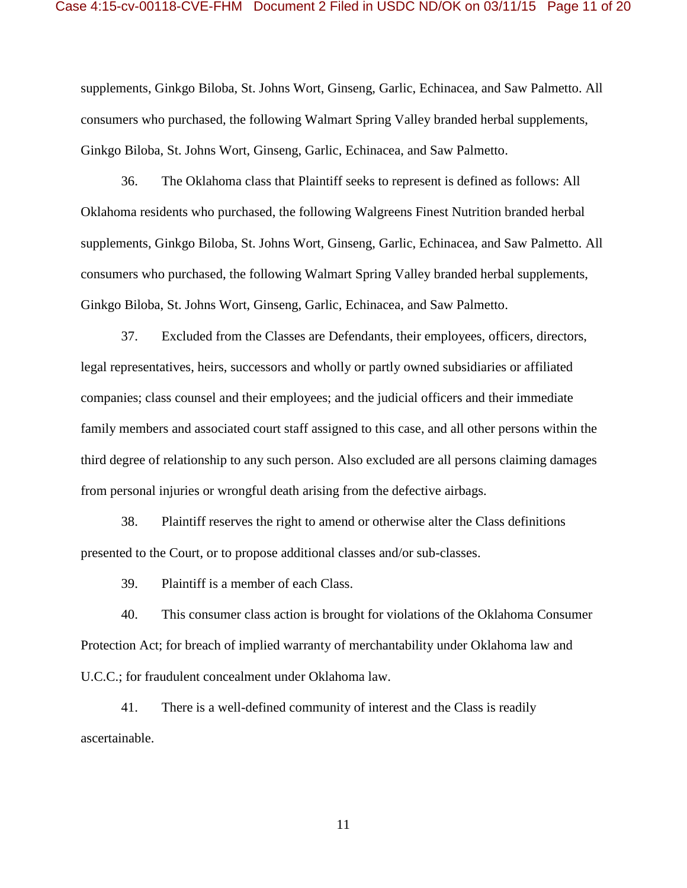supplements, Ginkgo Biloba, St. Johns Wort, Ginseng, Garlic, Echinacea, and Saw Palmetto. All consumers who purchased, the following Walmart Spring Valley branded herbal supplements, Ginkgo Biloba, St. Johns Wort, Ginseng, Garlic, Echinacea, and Saw Palmetto.

36. The Oklahoma class that Plaintiff seeks to represent is defined as follows: All Oklahoma residents who purchased, the following Walgreens Finest Nutrition branded herbal supplements, Ginkgo Biloba, St. Johns Wort, Ginseng, Garlic, Echinacea, and Saw Palmetto. All consumers who purchased, the following Walmart Spring Valley branded herbal supplements, Ginkgo Biloba, St. Johns Wort, Ginseng, Garlic, Echinacea, and Saw Palmetto.

37. Excluded from the Classes are Defendants, their employees, officers, directors, legal representatives, heirs, successors and wholly or partly owned subsidiaries or affiliated companies; class counsel and their employees; and the judicial officers and their immediate family members and associated court staff assigned to this case, and all other persons within the third degree of relationship to any such person. Also excluded are all persons claiming damages from personal injuries or wrongful death arising from the defective airbags.

38. Plaintiff reserves the right to amend or otherwise alter the Class definitions presented to the Court, or to propose additional classes and/or sub-classes.

39. Plaintiff is a member of each Class.

40. This consumer class action is brought for violations of the Oklahoma Consumer Protection Act; for breach of implied warranty of merchantability under Oklahoma law and U.C.C.; for fraudulent concealment under Oklahoma law.

41. There is a well-defined community of interest and the Class is readily ascertainable.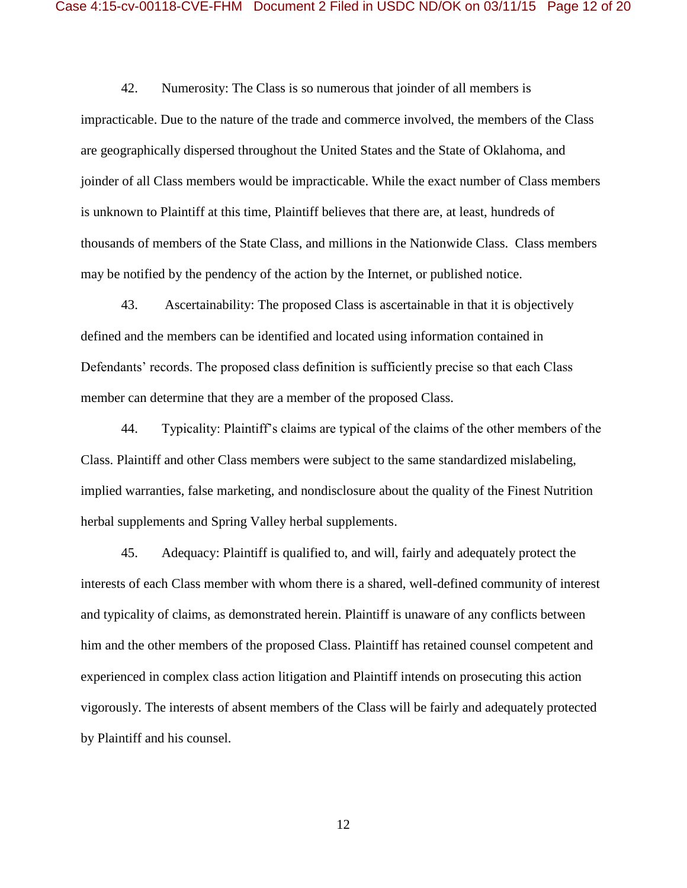42. Numerosity: The Class is so numerous that joinder of all members is impracticable. Due to the nature of the trade and commerce involved, the members of the Class are geographically dispersed throughout the United States and the State of Oklahoma, and joinder of all Class members would be impracticable. While the exact number of Class members is unknown to Plaintiff at this time, Plaintiff believes that there are, at least, hundreds of thousands of members of the State Class, and millions in the Nationwide Class. Class members may be notified by the pendency of the action by the Internet, or published notice.

43. Ascertainability: The proposed Class is ascertainable in that it is objectively defined and the members can be identified and located using information contained in Defendants' records. The proposed class definition is sufficiently precise so that each Class member can determine that they are a member of the proposed Class.

44. Typicality: Plaintiff's claims are typical of the claims of the other members of the Class. Plaintiff and other Class members were subject to the same standardized mislabeling, implied warranties, false marketing, and nondisclosure about the quality of the Finest Nutrition herbal supplements and Spring Valley herbal supplements.

45. Adequacy: Plaintiff is qualified to, and will, fairly and adequately protect the interests of each Class member with whom there is a shared, well-defined community of interest and typicality of claims, as demonstrated herein. Plaintiff is unaware of any conflicts between him and the other members of the proposed Class. Plaintiff has retained counsel competent and experienced in complex class action litigation and Plaintiff intends on prosecuting this action vigorously. The interests of absent members of the Class will be fairly and adequately protected by Plaintiff and his counsel.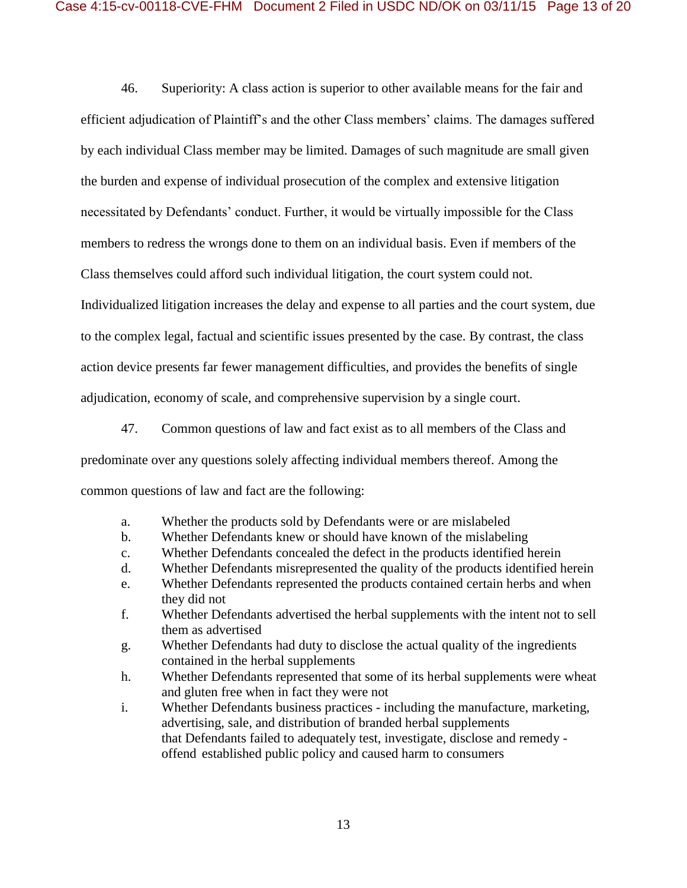46. Superiority: A class action is superior to other available means for the fair and efficient adjudication of Plaintiff's and the other Class members' claims. The damages suffered by each individual Class member may be limited. Damages of such magnitude are small given the burden and expense of individual prosecution of the complex and extensive litigation necessitated by Defendants' conduct. Further, it would be virtually impossible for the Class members to redress the wrongs done to them on an individual basis. Even if members of the Class themselves could afford such individual litigation, the court system could not. Individualized litigation increases the delay and expense to all parties and the court system, due to the complex legal, factual and scientific issues presented by the case. By contrast, the class action device presents far fewer management difficulties, and provides the benefits of single adjudication, economy of scale, and comprehensive supervision by a single court.

47. Common questions of law and fact exist as to all members of the Class and predominate over any questions solely affecting individual members thereof. Among the common questions of law and fact are the following:

- a. Whether the products sold by Defendants were or are mislabeled
- b. Whether Defendants knew or should have known of the mislabeling
- c. Whether Defendants concealed the defect in the products identified herein
- d. Whether Defendants misrepresented the quality of the products identified herein
- e. Whether Defendants represented the products contained certain herbs and when they did not
- f. Whether Defendants advertised the herbal supplements with the intent not to sell them as advertised
- g. Whether Defendants had duty to disclose the actual quality of the ingredients contained in the herbal supplements
- h. Whether Defendants represented that some of its herbal supplements were wheat and gluten free when in fact they were not
- i. Whether Defendants business practices including the manufacture, marketing, advertising, sale, and distribution of branded herbal supplements that Defendants failed to adequately test, investigate, disclose and remedy offend established public policy and caused harm to consumers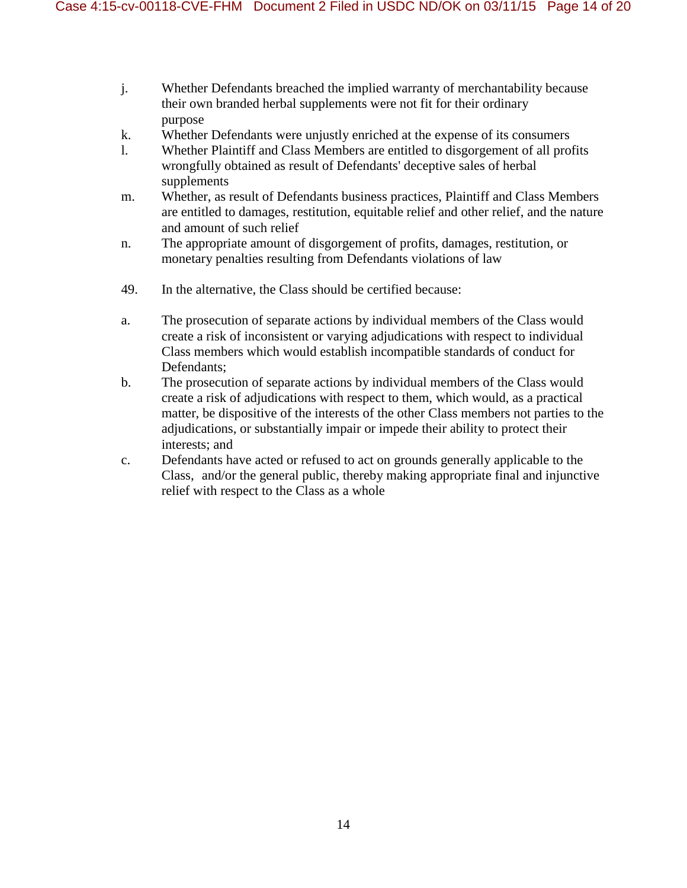- j. Whether Defendants breached the implied warranty of merchantability because their own branded herbal supplements were not fit for their ordinary purpose
- k. Whether Defendants were unjustly enriched at the expense of its consumers
- l. Whether Plaintiff and Class Members are entitled to disgorgement of all profits wrongfully obtained as result of Defendants' deceptive sales of herbal supplements
- m. Whether, as result of Defendants business practices, Plaintiff and Class Members are entitled to damages, restitution, equitable relief and other relief, and the nature and amount of such relief
- n. The appropriate amount of disgorgement of profits, damages, restitution, or monetary penalties resulting from Defendants violations of law
- 49. In the alternative, the Class should be certified because:
- a. The prosecution of separate actions by individual members of the Class would create a risk of inconsistent or varying adjudications with respect to individual Class members which would establish incompatible standards of conduct for Defendants;
- b. The prosecution of separate actions by individual members of the Class would create a risk of adjudications with respect to them, which would, as a practical matter, be dispositive of the interests of the other Class members not parties to the adjudications, or substantially impair or impede their ability to protect their interests; and
- c. Defendants have acted or refused to act on grounds generally applicable to the Class, and/or the general public, thereby making appropriate final and injunctive relief with respect to the Class as a whole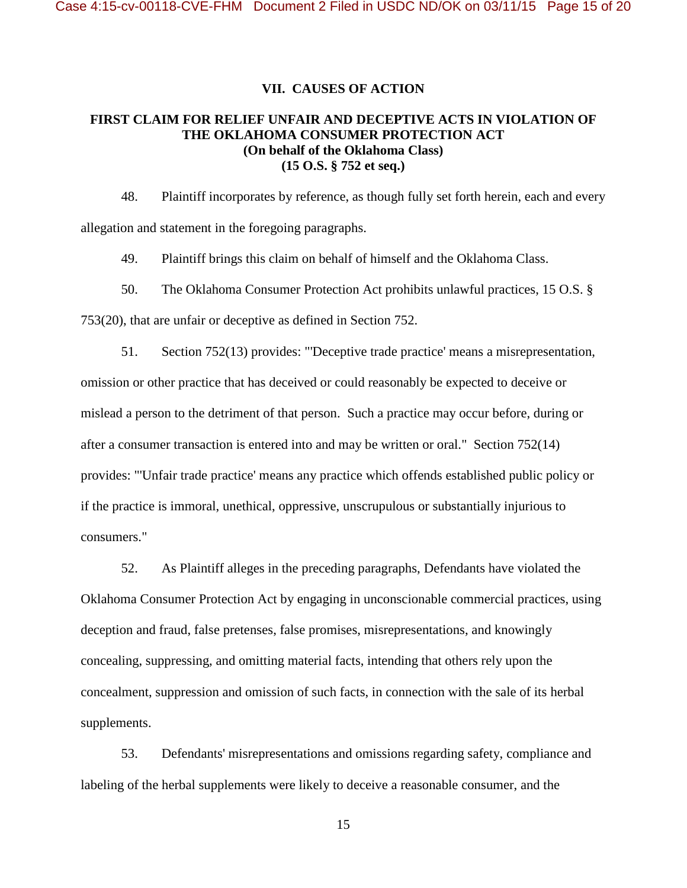#### **VII. CAUSES OF ACTION**

## **FIRST CLAIM FOR RELIEF UNFAIR AND DECEPTIVE ACTS IN VIOLATION OF THE OKLAHOMA CONSUMER PROTECTION ACT (On behalf of the Oklahoma Class) (15 O.S. § 752 et seq.)**

48. Plaintiff incorporates by reference, as though fully set forth herein, each and every allegation and statement in the foregoing paragraphs.

49. Plaintiff brings this claim on behalf of himself and the Oklahoma Class.

50. The Oklahoma Consumer Protection Act prohibits unlawful practices, 15 O.S. §

753(20), that are unfair or deceptive as defined in Section 752.

51. Section 752(13) provides: "'Deceptive trade practice' means a misrepresentation, omission or other practice that has deceived or could reasonably be expected to deceive or mislead a person to the detriment of that person. Such a practice may occur before, during or after a consumer transaction is entered into and may be written or oral." Section 752(14) provides: "'Unfair trade practice' means any practice which offends established public policy or if the practice is immoral, unethical, oppressive, unscrupulous or substantially injurious to consumers."

52. As Plaintiff alleges in the preceding paragraphs, Defendants have violated the Oklahoma Consumer Protection Act by engaging in unconscionable commercial practices, using deception and fraud, false pretenses, false promises, misrepresentations, and knowingly concealing, suppressing, and omitting material facts, intending that others rely upon the concealment, suppression and omission of such facts, in connection with the sale of its herbal supplements.

53. Defendants' misrepresentations and omissions regarding safety, compliance and labeling of the herbal supplements were likely to deceive a reasonable consumer, and the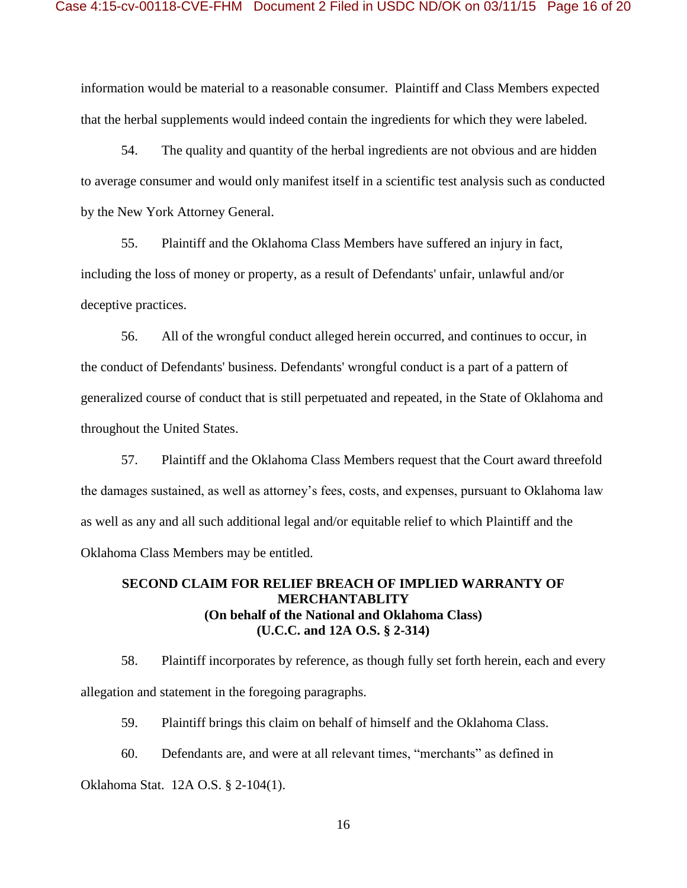information would be material to a reasonable consumer. Plaintiff and Class Members expected that the herbal supplements would indeed contain the ingredients for which they were labeled.

54. The quality and quantity of the herbal ingredients are not obvious and are hidden to average consumer and would only manifest itself in a scientific test analysis such as conducted by the New York Attorney General.

55. Plaintiff and the Oklahoma Class Members have suffered an injury in fact, including the loss of money or property, as a result of Defendants' unfair, unlawful and/or deceptive practices.

56. All of the wrongful conduct alleged herein occurred, and continues to occur, in the conduct of Defendants' business. Defendants' wrongful conduct is a part of a pattern of generalized course of conduct that is still perpetuated and repeated, in the State of Oklahoma and throughout the United States.

57. Plaintiff and the Oklahoma Class Members request that the Court award threefold the damages sustained, as well as attorney's fees, costs, and expenses, pursuant to Oklahoma law as well as any and all such additional legal and/or equitable relief to which Plaintiff and the Oklahoma Class Members may be entitled.

## **SECOND CLAIM FOR RELIEF BREACH OF IMPLIED WARRANTY OF MERCHANTABLITY (On behalf of the National and Oklahoma Class) (U.C.C. and 12A O.S. § 2-314)**

58. Plaintiff incorporates by reference, as though fully set forth herein, each and every allegation and statement in the foregoing paragraphs.

59. Plaintiff brings this claim on behalf of himself and the Oklahoma Class.

60. Defendants are, and were at all relevant times, "merchants" as defined in

Oklahoma Stat. 12A O.S. § 2-104(1).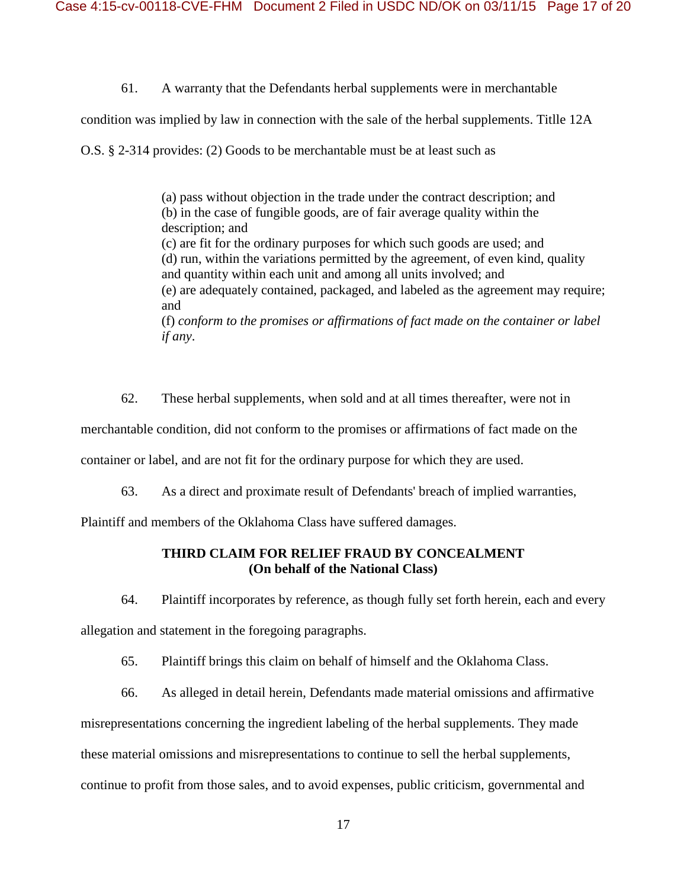61. A warranty that the Defendants herbal supplements were in merchantable

condition was implied by law in connection with the sale of the herbal supplements. Titlle 12A

O.S. § 2-314 provides: (2) Goods to be merchantable must be at least such as

(a) pass without objection in the trade under the contract description; and (b) in the case of fungible goods, are of fair average quality within the description; and (c) are fit for the ordinary purposes for which such goods are used; and (d) run, within the variations permitted by the agreement, of even kind, quality and quantity within each unit and among all units involved; and (e) are adequately contained, packaged, and labeled as the agreement may require; and (f) *conform to the promises or affirmations of fact made on the container or label if any*.

62. These herbal supplements, when sold and at all times thereafter, were not in

merchantable condition, did not conform to the promises or affirmations of fact made on the

container or label, and are not fit for the ordinary purpose for which they are used.

63. As a direct and proximate result of Defendants' breach of implied warranties,

Plaintiff and members of the Oklahoma Class have suffered damages.

## **THIRD CLAIM FOR RELIEF FRAUD BY CONCEALMENT (On behalf of the National Class)**

64. Plaintiff incorporates by reference, as though fully set forth herein, each and every

allegation and statement in the foregoing paragraphs.

65. Plaintiff brings this claim on behalf of himself and the Oklahoma Class.

66. As alleged in detail herein, Defendants made material omissions and affirmative misrepresentations concerning the ingredient labeling of the herbal supplements. They made these material omissions and misrepresentations to continue to sell the herbal supplements, continue to profit from those sales, and to avoid expenses, public criticism, governmental and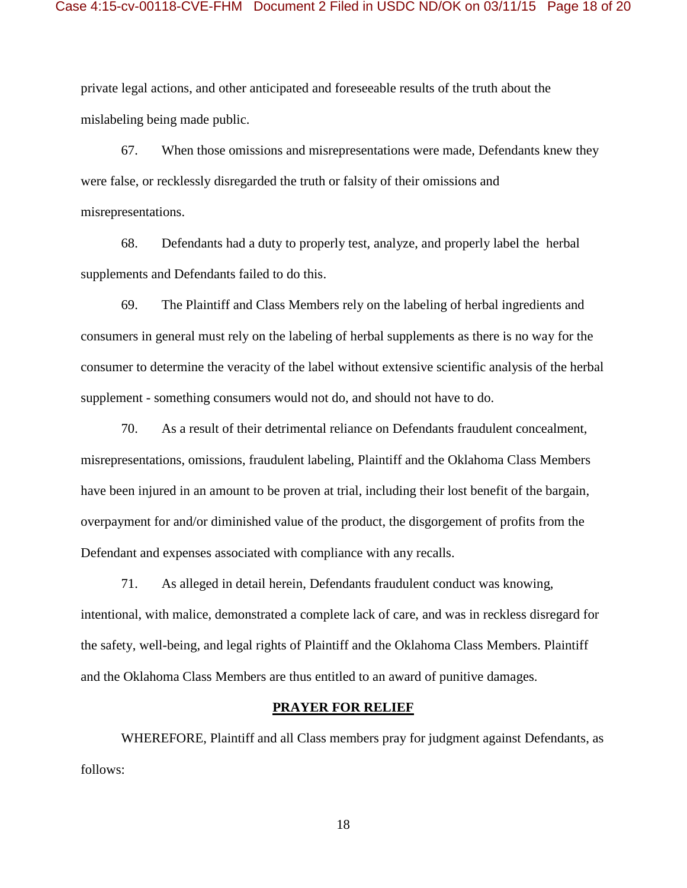private legal actions, and other anticipated and foreseeable results of the truth about the mislabeling being made public.

67. When those omissions and misrepresentations were made, Defendants knew they were false, or recklessly disregarded the truth or falsity of their omissions and misrepresentations.

68. Defendants had a duty to properly test, analyze, and properly label the herbal supplements and Defendants failed to do this.

69. The Plaintiff and Class Members rely on the labeling of herbal ingredients and consumers in general must rely on the labeling of herbal supplements as there is no way for the consumer to determine the veracity of the label without extensive scientific analysis of the herbal supplement - something consumers would not do, and should not have to do.

70. As a result of their detrimental reliance on Defendants fraudulent concealment, misrepresentations, omissions, fraudulent labeling, Plaintiff and the Oklahoma Class Members have been injured in an amount to be proven at trial, including their lost benefit of the bargain, overpayment for and/or diminished value of the product, the disgorgement of profits from the Defendant and expenses associated with compliance with any recalls.

71. As alleged in detail herein, Defendants fraudulent conduct was knowing, intentional, with malice, demonstrated a complete lack of care, and was in reckless disregard for the safety, well-being, and legal rights of Plaintiff and the Oklahoma Class Members. Plaintiff and the Oklahoma Class Members are thus entitled to an award of punitive damages.

#### **PRAYER FOR RELIEF**

WHEREFORE, Plaintiff and all Class members pray for judgment against Defendants, as follows: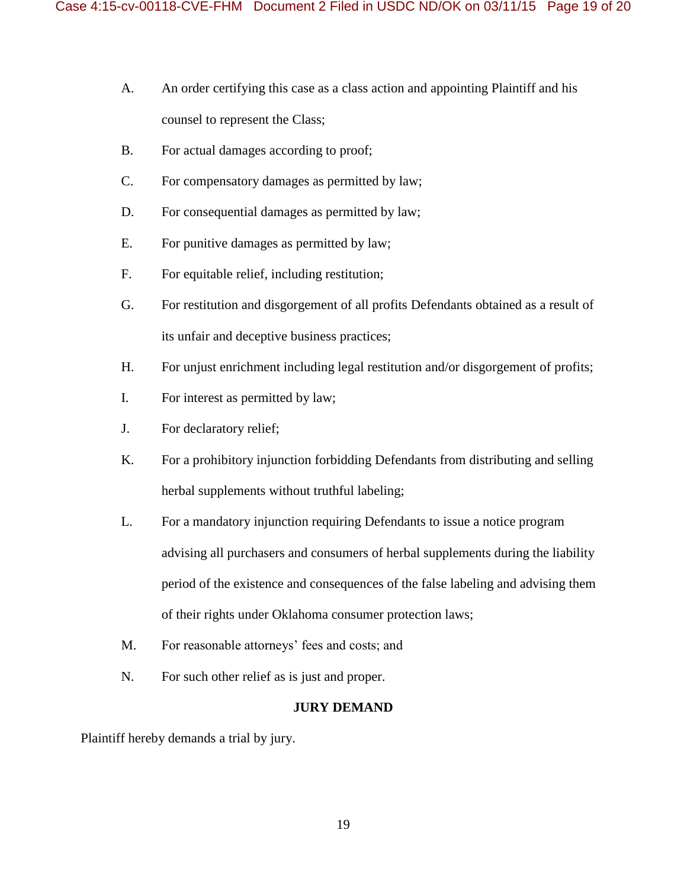- A. An order certifying this case as a class action and appointing Plaintiff and his counsel to represent the Class;
- B. For actual damages according to proof;
- C. For compensatory damages as permitted by law;
- D. For consequential damages as permitted by law;
- E. For punitive damages as permitted by law;
- F. For equitable relief, including restitution;
- G. For restitution and disgorgement of all profits Defendants obtained as a result of its unfair and deceptive business practices;
- H. For unjust enrichment including legal restitution and/or disgorgement of profits;
- I. For interest as permitted by law;
- J. For declaratory relief;
- K. For a prohibitory injunction forbidding Defendants from distributing and selling herbal supplements without truthful labeling;
- L. For a mandatory injunction requiring Defendants to issue a notice program advising all purchasers and consumers of herbal supplements during the liability period of the existence and consequences of the false labeling and advising them of their rights under Oklahoma consumer protection laws;
- M. For reasonable attorneys' fees and costs; and
- N. For such other relief as is just and proper.

### **JURY DEMAND**

Plaintiff hereby demands a trial by jury.